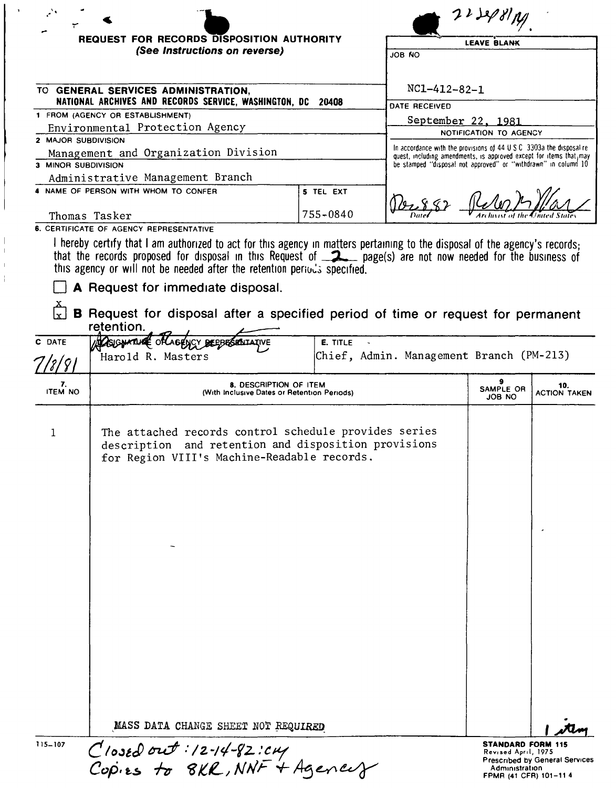|                      | <b>REQUEST FOR RECORDS DISPOSITION AUTHORITY</b>                                                                                                                                                                                                                                                                                   |                                                                |                                                                                                                                                                | <b>LEAVE BLANK</b>                              |                                       |  |
|----------------------|------------------------------------------------------------------------------------------------------------------------------------------------------------------------------------------------------------------------------------------------------------------------------------------------------------------------------------|----------------------------------------------------------------|----------------------------------------------------------------------------------------------------------------------------------------------------------------|-------------------------------------------------|---------------------------------------|--|
|                      | (See Instructions on reverse)                                                                                                                                                                                                                                                                                                      |                                                                | JOB NO                                                                                                                                                         |                                                 |                                       |  |
|                      |                                                                                                                                                                                                                                                                                                                                    |                                                                |                                                                                                                                                                |                                                 |                                       |  |
|                      | TO GENERAL SERVICES ADMINISTRATION,<br>NATIONAL ARCHIVES AND RECORDS SERVICE, WASHINGTON, DC                                                                                                                                                                                                                                       | - 20408                                                        | $NC1 - 412 - 82 - 1$                                                                                                                                           |                                                 |                                       |  |
|                      | 1 FROM (AGENCY OR ESTABLISHMENT)                                                                                                                                                                                                                                                                                                   |                                                                | DATE RECEIVED                                                                                                                                                  |                                                 |                                       |  |
|                      | Environmental Protection Agency                                                                                                                                                                                                                                                                                                    |                                                                | September 22, 1981                                                                                                                                             |                                                 |                                       |  |
| 2 MAJOR SUBDIVISION  |                                                                                                                                                                                                                                                                                                                                    |                                                                |                                                                                                                                                                | NOTIFICATION TO AGENCY                          |                                       |  |
|                      | Management and Organization Division                                                                                                                                                                                                                                                                                               |                                                                | In accordance with the provisions of $44 \text{ U } S \text{ C}$ 3303a the disposal re-<br>quest, including amendments, is approved except for items that, may |                                                 |                                       |  |
| 3 MINOR SUBDIVISION  |                                                                                                                                                                                                                                                                                                                                    | be stamped "disposal not approved" or "withdrawn" in column 10 |                                                                                                                                                                |                                                 |                                       |  |
|                      | Administrative Management Branch                                                                                                                                                                                                                                                                                                   |                                                                |                                                                                                                                                                |                                                 |                                       |  |
|                      | 4 NAME OF PERSON WITH WHOM TO CONFER                                                                                                                                                                                                                                                                                               | 5 TEL EXT                                                      |                                                                                                                                                                |                                                 |                                       |  |
|                      | Thomas Tasker                                                                                                                                                                                                                                                                                                                      | 755-0840                                                       |                                                                                                                                                                |                                                 |                                       |  |
|                      | 6. CERTIFICATE OF AGENCY REPRESENTATIVE                                                                                                                                                                                                                                                                                            |                                                                |                                                                                                                                                                |                                                 |                                       |  |
|                      | that the records proposed for disposal in this Request of ______ page(s) are not now needed for the business of<br>this agency or will not be needed after the retention periods specified.<br>A Request for immediate disposal.<br>B Request for disposal after a specified period of time or request for permanent<br>retention. |                                                                |                                                                                                                                                                |                                                 |                                       |  |
| C DATE               | <b>ACSIGNATURE OF</b><br>SRAILAINE                                                                                                                                                                                                                                                                                                 | E. TITLE                                                       |                                                                                                                                                                |                                                 |                                       |  |
|                      | Harold R. Masters                                                                                                                                                                                                                                                                                                                  |                                                                | Chief, Admin. Management Branch (PM-213)                                                                                                                       |                                                 |                                       |  |
| 7/8/81               |                                                                                                                                                                                                                                                                                                                                    |                                                                |                                                                                                                                                                |                                                 |                                       |  |
| 7.<br><b>ITEM NO</b> | 8. DESCRIPTION OF ITEM<br>(With Inclusive Dates or Retention Periods)                                                                                                                                                                                                                                                              |                                                                |                                                                                                                                                                | 9<br>SAMPLE OR<br>JOB NO                        | 10.<br><b>ACTION TAKEN</b>            |  |
| 1                    | The attached records control schedule provides series<br>description and retention and disposition provisions<br>for Region VIII's Machine-Readable records.<br>MASS DATA CHANGE SHEET NOT REQUIRED                                                                                                                                |                                                                |                                                                                                                                                                |                                                 |                                       |  |
| 115-107              | $C$ losed out: 12-14-82: $c$ my<br>Copies to 8KR, NNF + Agences                                                                                                                                                                                                                                                                    |                                                                |                                                                                                                                                                | <b>STANDARD FORM 115</b><br>Revised April, 1975 | <b>Prescribed by General Services</b> |  |
|                      |                                                                                                                                                                                                                                                                                                                                    |                                                                |                                                                                                                                                                | Administration<br>FPMR (41 CFR) 101-114         |                                       |  |

 $\bar{\mathbf{r}}$ 

 $\|$  $\bar{\Gamma}$  $\bar{1}$  $\frac{1}{1}$